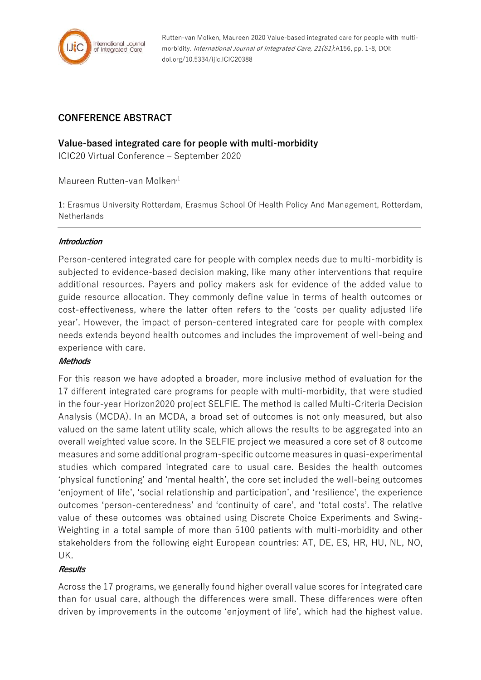

Rutten-van Molken, Maureen 2020 Value-based integrated care for people with multimorbidity. International Journal of Integrated Care, 21(S1):A156, pp. 1-8, DOI: doi.org/10.5334/ijic.ICIC20388

# **CONFERENCE ABSTRACT**

## **Value-based integrated care for people with multi-morbidity**

ICIC20 Virtual Conference – September 2020

Maureen Rutten-van Molken<sup>,1</sup>

1: Erasmus University Rotterdam, Erasmus School Of Health Policy And Management, Rotterdam, **Netherlands** 

### **Introduction**

Person-centered integrated care for people with complex needs due to multi-morbidity is subjected to evidence-based decision making, like many other interventions that require additional resources. Payers and policy makers ask for evidence of the added value to guide resource allocation. They commonly define value in terms of health outcomes or cost-effectiveness, where the latter often refers to the 'costs per quality adjusted life year'. However, the impact of person-centered integrated care for people with complex needs extends beyond health outcomes and includes the improvement of well-being and experience with care.

## **Methods**

For this reason we have adopted a broader, more inclusive method of evaluation for the 17 different integrated care programs for people with multi-morbidity, that were studied in the four-year Horizon2020 project SELFIE. The method is called Multi-Criteria Decision Analysis (MCDA). In an MCDA, a broad set of outcomes is not only measured, but also valued on the same latent utility scale, which allows the results to be aggregated into an overall weighted value score. In the SELFIE project we measured a core set of 8 outcome measures and some additional program-specific outcome measures in quasi-experimental studies which compared integrated care to usual care. Besides the health outcomes 'physical functioning' and 'mental health', the core set included the well-being outcomes 'enjoyment of life', 'social relationship and participation', and 'resilience', the experience outcomes 'person-centeredness' and 'continuity of care', and 'total costs'. The relative value of these outcomes was obtained using Discrete Choice Experiments and Swing-Weighting in a total sample of more than 5100 patients with multi-morbidity and other stakeholders from the following eight European countries: AT, DE, ES, HR, HU, NL, NO, UK.

## **Results**

Across the 17 programs, we generally found higher overall value scores for integrated care than for usual care, although the differences were small. These differences were often driven by improvements in the outcome 'enjoyment of life', which had the highest value.